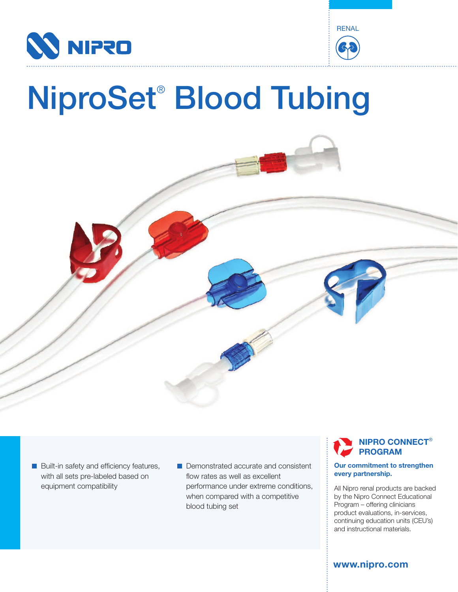



# NiproSet® Blood Tubing



- $\blacksquare$  Built-in safety and efficiency features, with all sets pre-labeled based on equipment compatibility
- Demonstrated accurate and consistent flow rates as well as excellent performance under extreme conditions, when compared with a competitive blood tubing set

## **NIPRO CONNECT**® **PROGRAM**

#### **Our commitment to strengthen every partnership.**

All Nipro renal products are backed by the Nipro Connect Educational Program – offering clinicians product evaluations, in-services, continuing education units (CEU's) and instructional materials.